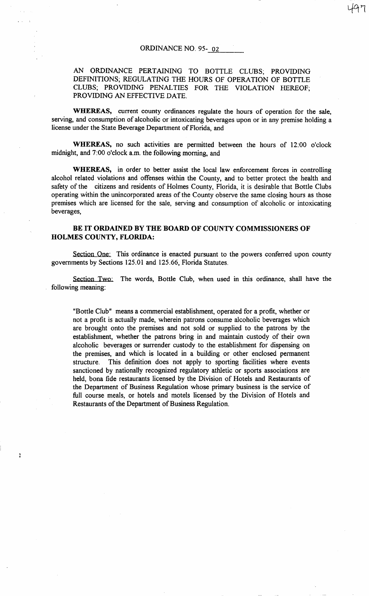## AN ORDINANCE PERTAINING TO BOTTLE CLUBS; PROVIDING DEFINITIONS; REGULATING THE HOURS OF OPERATION OF BOTTLE CLUBS; PROVIDING PENALTIES FOR THE VIOLATION HEREOF; PROVIDING AN EFFECTIVE DATE.

WHEREAS, current county ordinances regulate the hours of operation for the sale, serving, and consumption of alcoholic or intoxicating beverages upon or in any premise holding a license under the State Beverage Department of Florida, and

WHEREAS, no such activities are permitted between the hours of 12:00 o'clock midnight, and 7:00 o'clock a.m. the following morning, and

WHEREAS, in order to better assist the local law enforcement forces in controlling alcohol related violations and offenses within the County, and to better protect the health and safety of the citizens and residents of Holmes County, Florida, it is desirable that Bottle Clubs operating within the unincorporated areas of the County observe the same closing hours as those premises which are licensed for the sale, serving and consumption of alcoholic or intoxicating beverages,

## BE IT ORDAINED BY THE BOARD OF COUNTY COMMISSIONERS OF HOLMES COUNTY, FLORIDA:

Section One: This ordinance is enacted pursuant to the powers conferred upon county governments by Sections 125.01 and 125.66, Florida Statutes.

Section Two: The words, Bottle Club, when used in this ordinance, shall have the following meaning:

"Bottle Club" means a commercial establishment, operated for a profit, whether or not a profit is actually made, wherein patrons consume alcoholic beverages which are brought onto the premises and not sold or supplied to the patrons by the establishment, whether the patrons bring in and maintain custody of their own alcoholic beverages or surrender custody to the establishment for dispensing on the premises, and which is located in a building or other enclosed permanent structure. This definition does not apply to sporting facilities where events sanctioned by nationally recognized regulatory athletic or sports associations are held, bona fide restaurants licensed by the Division of Hotels and Restaurants of the Department of Business Regulation whose primary business is the service of full course meals, or hotels and motels licensed by the Division of Hotels and Restaurants of the Department of Business Regulation.

À